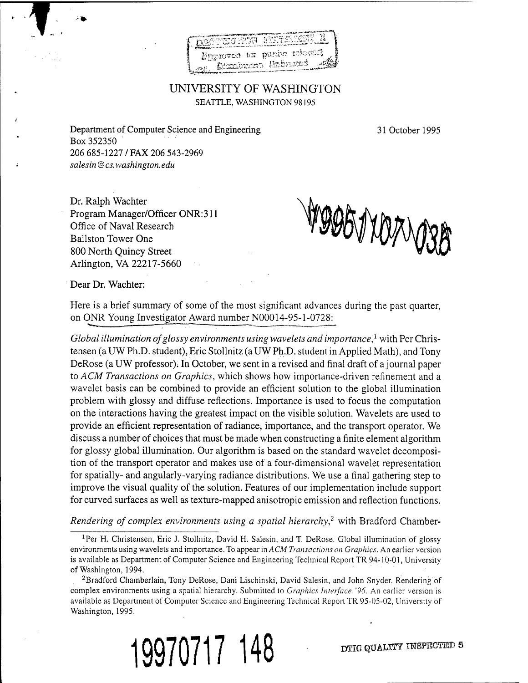

## UNIVERSITY OF WASHINGTON SEATTLE, WASHINGTON 98195

Department of Computer Science and Engineering. 31 October 1995 Box 352350 206 685-1227 / FAX 206 543-2969 *salesin @ cs. Washington, edu*

Dr. Ralph Wächter Program Manager/Officer ONR:311 Office of Naval Research Ballston Tower One 800 North Quincy Street Arlington, VA 22217-5660

MOORTXOAVOSB

Dear Dr. Wächter:

*1*

Here is a brief summary of some of the most significant advances during the past quarter, on ONR Young Investigator Award number N00014-95-1-0728:

*Global illumination ofglossy environments using wavelets and importance,<sup>1</sup>* with Per Christensen (a UW Ph.D. student), Eric Stollnitz (a UW Ph.D. student in Applied Math), and Tony DeRose (a UW professor); In October, we sent in a revised and final draft of a journal paper to *ACM Transactions on Graphics,* which shows how importance-driven refinement and a wavelet basis can be combined to provide an efficient solution to the global illumination problem with glossy and diffuse reflections. Importance is used to focus the computation on the interactions having the greatest impact on the visible solution. Wavelets are used to provide an efficient representation of radiance, importance, and the transport operator. We discuss a number of choices that must be made when constructing a finite element algorithm for glossy global illumination. Our algorithm is based on the standard wavelet decomposition of the transport operator and makes use of a four-dimensional wavelet representation for spatially- and angularly-varying radiance distributions. We use a final gathering step to improve the visual quality of the solution. Features of our implementation include support for curved surfaces as well as texture-mapped anisotropic emission and reflection functions.

*Rendering of complex environments using <sup>a</sup> spatial hierarchy,<sup>2</sup>* with Bradford Chamber-

<sup>&</sup>lt;sup>1</sup>Per H. Christensen, Eric J. Stollnitz, David H. Salesin, and T. DeRose. Global illumination of glossy environments using wavelets and importance. To appear in *ACM Transactions on Graphics.* An earlier version is available as Department of Computer Science and Engineering Technical Report TR 94-10-01, University of Washington, 1994.

<sup>&</sup>lt;sup>2</sup>Bradford Chamberlain, Tony DeRose, Dani Lischinski, David Salesin, and John Snyder. Rendering of complex environments using a spatial hierarchy. Submitted to *Graphics Interface '96.* An earlier version is available as Department of Computer Science and Engineering Technical Report TR 95-05-02, University of Washington, 1995.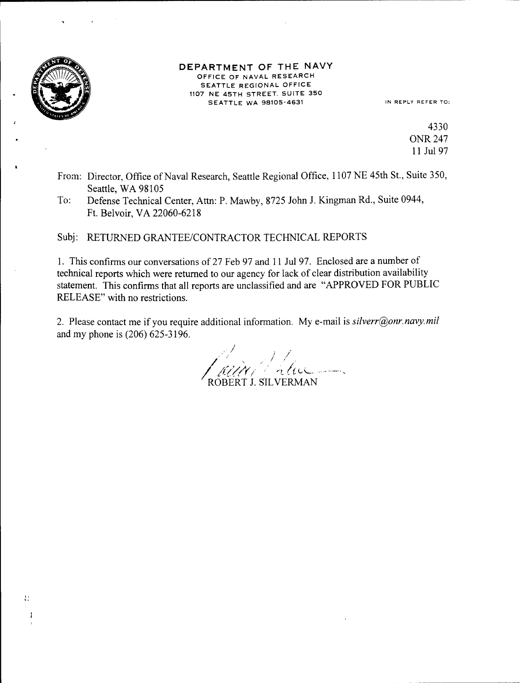

Ħ

## DEPARTMENT OF THE NAVY OFFICE OF NAVAL RESEARCH SEATTLE REGIONAL OFFICE 1107 NE 45TH STREET. SUITE 350 SEATTLE WA 98105-4631 IN REPLY REFER TO:

4330 ONR 247 11 Jul 97

- From: Director, Office of Naval Research, Seattle Regional Office, 1107 NE 45th St., Suite 350, Seattle, WA 98105
- To: Defense Technical Center, Atta: P. Mawby, 8725 John J. Kingman Rd., Suite 0944, Ft. Belvoir,VA 22060-6218

Subj: RETURNED GRANTEE/CONTRACTOR TECHNICAL REPORTS

1. This confirms our conversations of 27 Feb 97 and <sup>11</sup> Jul 97. Enclosed are a number of technical reports which were returned to our agency for lack of clear distribution availability statement. This confirms that all reports are unclassified and are "APPROVED FOR PUBLIC RELEASE" with no restrictions.

2. Please contact me if you require additional information. My e-mail is *silverr@onr.navy.mil* and my phone is (206) 625-3196.

 **'''•** *-'-'s* ROBERT J. SILVERMAN